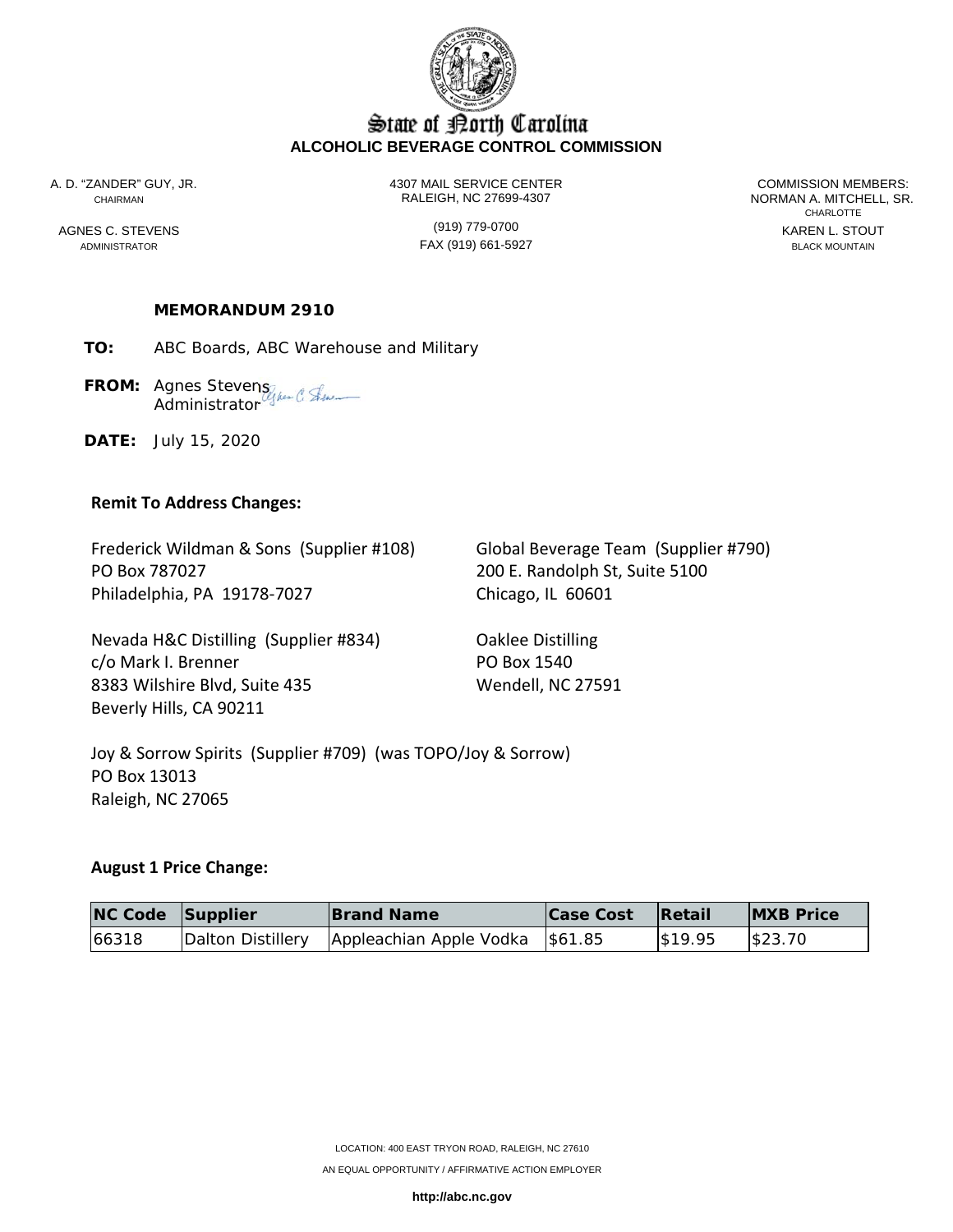

## State of Borth Carolina **ALCOHOLIC BEVERAGE CONTROL COMMISSION**

A. D. "ZANDER" GUY, JR. 4307 MAIL SERVICE CENTER COMMISSION MEMBERS: CHAIRMAN RALEIGH, NC 27699-4307 NORMAN A. MITCHELL, SR.

ADMINISTRATOR FAX (919) 661-5927 BLACK MOUNTAIN

**CHARLOTTE** AGNES C. STEVENS GENERAL STOUT (919) 779-0700

### **MEMORANDUM 2910**

**TO:** ABC Boards, ABC Warehouse and Military

**FROM:** Agnes Stevens **Administrator** 

**DATE:** July 15, 2020

#### **Remit To Address Changes:**

Frederick Wildman & Sons (Supplier #108) Global Beverage Team (Supplier #790) PO Box 787027 200 E. Randolph St, Suite 5100 Philadelphia, PA 19178‐7027 Chicago, IL 60601

Nevada H&C Distilling (Supplier #834) Oaklee Distilling c/o Mark I. Brenner PO Box 1540 8383 Wilshire Blvd, Suite 435 Wendell, NC 27591 Beverly Hills, CA 90211

Joy & Sorrow Spirits (Supplier #709) (was TOPO/Joy & Sorrow) PO Box 13013 Raleigh, NC 27065

### **August 1 Price Change:**

| NC Code Supplier | <b>Brand Name</b>                                     | <b>Case Cost</b> | Retail  | <b>IMXB Price</b> |
|------------------|-------------------------------------------------------|------------------|---------|-------------------|
| 66318            | Dalton Distillery   Appleachian Apple Vodka   \$61.85 |                  | \$19.95 | \$23.70           |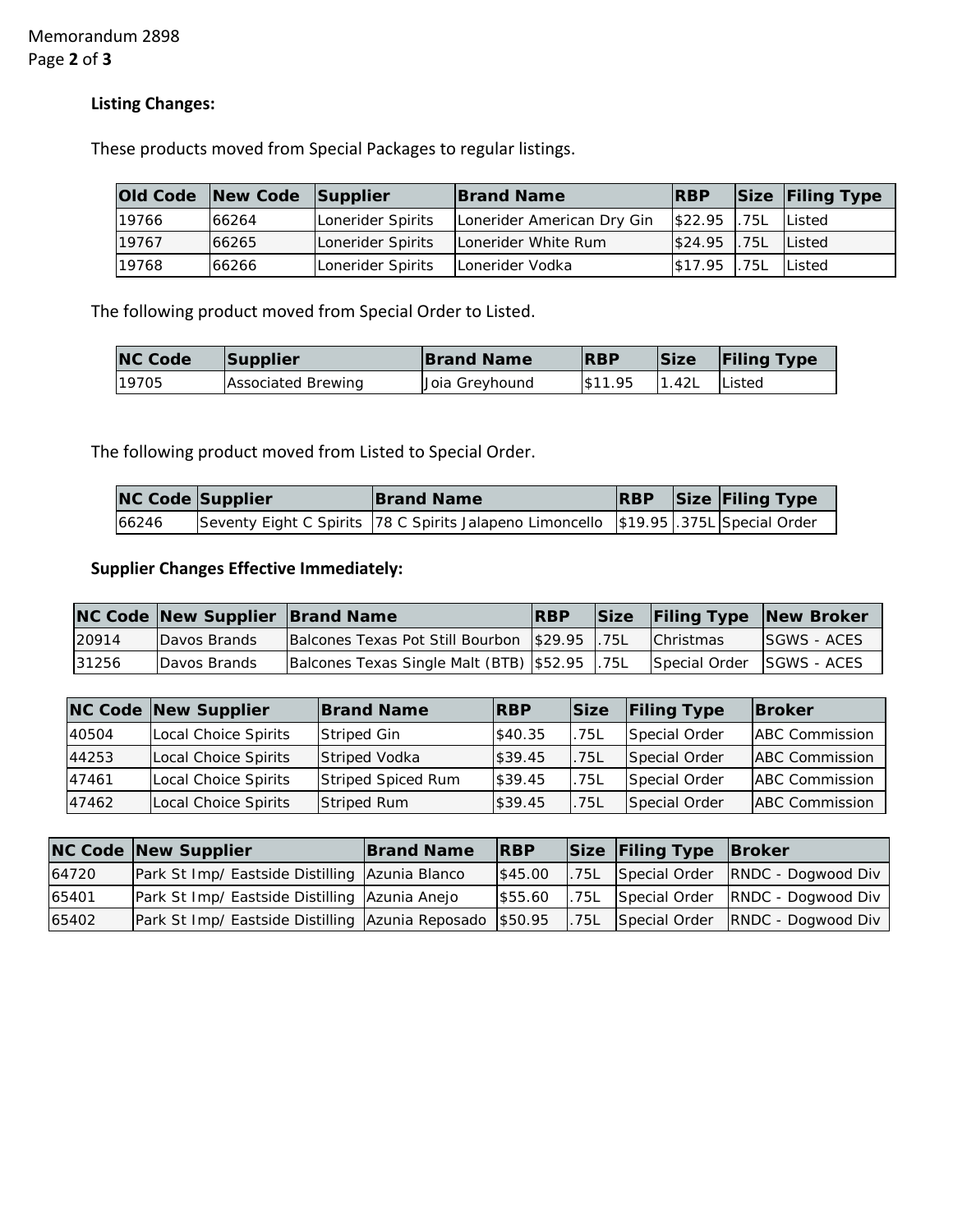# **Listing Changes:**

These products moved from Special Packages to regular listings.

|       | Old Code New Code Supplier |                   | <b>Brand Name</b>          | <b>IRBP</b>                       |      | Size Filing Type |
|-------|----------------------------|-------------------|----------------------------|-----------------------------------|------|------------------|
| 19766 | 66264                      | Lonerider Spirits | Lonerider American Dry Gin | S22.95 .75L Listed                |      |                  |
| 19767 | 66265                      | Lonerider Spirits | Lonerider White Rum        | $\frac{1}{2}$ \$24.95 .75L Listed |      |                  |
| 19768 | 66266                      | Lonerider Spirits | Lonerider Vodka            | \$17.95                           | .75L | Listed           |

The following product moved from Special Order to Listed.

| <b>NC Code</b> | Supplier                  | <b>Brand Name</b> | <b>RBP</b> | Size  | <b>Filing Type</b> |
|----------------|---------------------------|-------------------|------------|-------|--------------------|
| 19705          | <b>Associated Brewing</b> | Joia Greyhound    | \$11.95    | 1.42L | lListed            |

The following product moved from Listed to Special Order.

| <b>NC Code Supplier</b> | <b>Brand Name</b>                                                                   |  | <b>RBP</b> Size Filing Type |
|-------------------------|-------------------------------------------------------------------------------------|--|-----------------------------|
| 66246                   | Seventy Eight C Spirits 78 C Spirits Jalapeno Limoncello \$19.95 375L Special Order |  |                             |

# **Supplier Changes Effective Immediately:**

|       | <b>NC Code New Supplier Brand Name</b> |                                                  | <b>IRBP</b> |                           | Size Filing Type New Broker |
|-------|----------------------------------------|--------------------------------------------------|-------------|---------------------------|-----------------------------|
| 20914 | <b>Davos Brands</b>                    | Balcones Texas Pot Still Bourbon   \$29.95   75L |             | <b>Christmas</b>          | <b>ISGWS - ACES</b>         |
| 31256 | Davos Brands                           | Balcones Texas Single Malt (BTB) \$52.95 75L     |             | Special Order SGWS - ACES |                             |

|       | <b>NC Code New Supplier</b> | <b>Brand Name</b>    | <b>IRBP</b> | Size | <b>Filing Type</b> | <b>Broker</b>         |
|-------|-----------------------------|----------------------|-------------|------|--------------------|-----------------------|
| 40504 | Local Choice Spirits        | Striped Gin          | \$40.35     | .75L | Special Order      | <b>ABC Commission</b> |
| 44253 | Local Choice Spirits        | <b>Striped Vodka</b> | \$39.45     | .75L | Special Order      | <b>ABC</b> Commission |
| 47461 | Local Choice Spirits        | Striped Spiced Rum   | \$39.45     | .75L | Special Order      | <b>ABC</b> Commission |
| 47462 | <b>Local Choice Spirits</b> | <b>Striped Rum</b>   | \$39.45     | .75L | Special Order      | <b>ABC</b> Commission |

|       | <b>NC Code New Supplier</b>                              | <b>Brand Name</b> | <b>RBP</b> |       | Size Filing Type Broker |                                       |
|-------|----------------------------------------------------------|-------------------|------------|-------|-------------------------|---------------------------------------|
| 64720 | Park St Imp/ Eastside Distilling Azunia Blanco           |                   | \$45.00    |       |                         | .75L Special Order RNDC - Dogwood Div |
| 65401 | Park St Imp/ Eastside Distilling Azunia Anejo            |                   | \$55.60    | .75L  |                         | Special Order RNDC - Dogwood Div      |
| 65402 | Park St Imp/ Eastside Distilling Azunia Reposado \$50.95 |                   |            | 1.75L |                         | Special Order RNDC - Dogwood Div      |